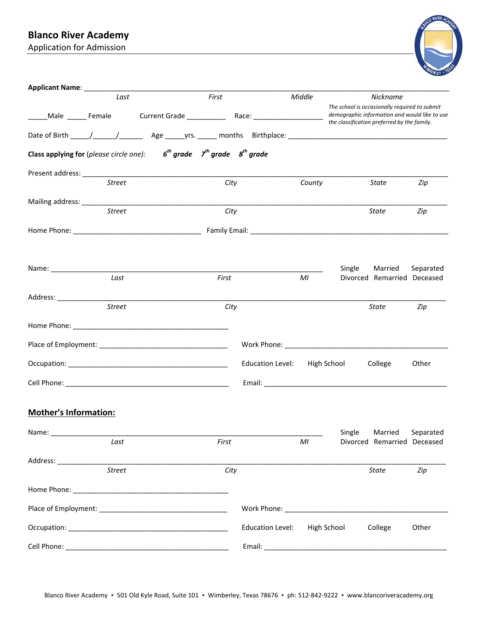# **Blanco River Academy**

Application for Admission



| Applicant Name: ___________     |               |                                                                                      |       |                         |        |                                                                                                                                               |                             |           |
|---------------------------------|---------------|--------------------------------------------------------------------------------------|-------|-------------------------|--------|-----------------------------------------------------------------------------------------------------------------------------------------------|-----------------------------|-----------|
|                                 | Last          |                                                                                      | First |                         | Middle |                                                                                                                                               | Nickname                    |           |
|                                 |               |                                                                                      |       |                         |        | The school is occasionally required to submit<br>demographic information and would like to use<br>the classification preferred by the family. |                             |           |
|                                 |               |                                                                                      |       |                         |        |                                                                                                                                               |                             |           |
|                                 |               | Class applying for (please circle one): $6^{th}$ grade $7^{th}$ grade $8^{th}$ grade |       |                         |        |                                                                                                                                               |                             |           |
|                                 |               |                                                                                      |       |                         |        |                                                                                                                                               |                             |           |
|                                 | <b>Street</b> |                                                                                      | City  |                         | County |                                                                                                                                               | State                       | Zip       |
| Mailing address: ______________ |               |                                                                                      |       |                         |        |                                                                                                                                               |                             |           |
|                                 | <b>Street</b> |                                                                                      | City  |                         |        |                                                                                                                                               | State                       | Zip       |
|                                 |               |                                                                                      |       |                         |        |                                                                                                                                               |                             |           |
|                                 |               |                                                                                      |       |                         |        |                                                                                                                                               |                             |           |
| Name: ________________________  |               |                                                                                      |       |                         |        | Single                                                                                                                                        | Married                     | Separated |
|                                 | Last          |                                                                                      | First |                         | MI     |                                                                                                                                               | Divorced Remarried Deceased |           |
|                                 |               |                                                                                      |       |                         |        |                                                                                                                                               |                             |           |
|                                 | <b>Street</b> |                                                                                      | City  |                         |        |                                                                                                                                               | State                       | Zip       |
|                                 |               |                                                                                      |       |                         |        |                                                                                                                                               |                             |           |
|                                 |               |                                                                                      |       |                         |        |                                                                                                                                               |                             |           |
|                                 |               |                                                                                      |       | <b>Education Level:</b> |        | High School                                                                                                                                   | College                     | Other     |
|                                 |               |                                                                                      |       |                         |        |                                                                                                                                               |                             |           |
|                                 |               |                                                                                      |       |                         |        |                                                                                                                                               |                             |           |
| <b>Mother's Information:</b>    |               |                                                                                      |       |                         |        |                                                                                                                                               |                             |           |
| Name:                           |               |                                                                                      |       |                         |        | Single                                                                                                                                        | Married                     | Separated |
|                                 | Last          |                                                                                      | First |                         | MI     |                                                                                                                                               | Divorced Remarried Deceased |           |
|                                 | <b>Street</b> |                                                                                      | City  |                         |        |                                                                                                                                               | State                       | Zip       |
|                                 |               |                                                                                      |       |                         |        |                                                                                                                                               |                             |           |
|                                 |               |                                                                                      |       |                         |        |                                                                                                                                               |                             |           |
|                                 |               |                                                                                      |       |                         |        |                                                                                                                                               |                             |           |
|                                 |               |                                                                                      |       | <b>Education Level:</b> |        | High School College                                                                                                                           |                             | Other     |
|                                 |               |                                                                                      |       |                         |        |                                                                                                                                               |                             |           |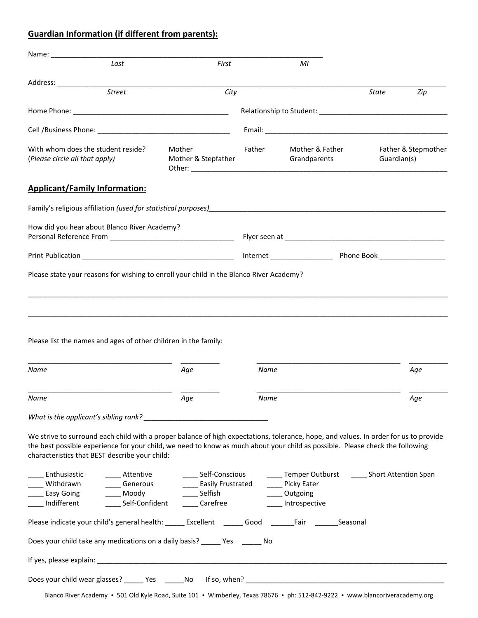### **Guardian Information (if different from parents):**

| Last                                                                                                                                                                                                                                                                                                                                                                                                                                                          |                     |        |                                 |             |                     |
|---------------------------------------------------------------------------------------------------------------------------------------------------------------------------------------------------------------------------------------------------------------------------------------------------------------------------------------------------------------------------------------------------------------------------------------------------------------|---------------------|--------|---------------------------------|-------------|---------------------|
|                                                                                                                                                                                                                                                                                                                                                                                                                                                               | First               |        | M <sub>l</sub>                  |             |                     |
|                                                                                                                                                                                                                                                                                                                                                                                                                                                               |                     |        |                                 |             |                     |
| <b>Street</b>                                                                                                                                                                                                                                                                                                                                                                                                                                                 | City                |        |                                 | State       | Zip                 |
|                                                                                                                                                                                                                                                                                                                                                                                                                                                               |                     |        |                                 |             |                     |
|                                                                                                                                                                                                                                                                                                                                                                                                                                                               |                     |        |                                 |             |                     |
| With whom does the student reside?<br>Mother<br>(Please circle all that apply)                                                                                                                                                                                                                                                                                                                                                                                | Mother & Stepfather | Father | Mother & Father<br>Grandparents | Guardian(s) | Father & Stepmother |
| <b>Applicant/Family Information:</b>                                                                                                                                                                                                                                                                                                                                                                                                                          |                     |        |                                 |             |                     |
| Family's religious affiliation (used for statistical purposes) https://www.com/community-stationary-                                                                                                                                                                                                                                                                                                                                                          |                     |        |                                 |             |                     |
| How did you hear about Blanco River Academy?                                                                                                                                                                                                                                                                                                                                                                                                                  |                     |        |                                 |             |                     |
|                                                                                                                                                                                                                                                                                                                                                                                                                                                               |                     |        |                                 |             |                     |
| Please state your reasons for wishing to enroll your child in the Blanco River Academy?                                                                                                                                                                                                                                                                                                                                                                       |                     |        |                                 |             |                     |
| Name                                                                                                                                                                                                                                                                                                                                                                                                                                                          | Age                 | Name   |                                 |             | Age                 |
| Name                                                                                                                                                                                                                                                                                                                                                                                                                                                          | Aqe                 | Name   |                                 |             |                     |
|                                                                                                                                                                                                                                                                                                                                                                                                                                                               |                     |        |                                 |             |                     |
|                                                                                                                                                                                                                                                                                                                                                                                                                                                               |                     |        |                                 |             | Aqe                 |
|                                                                                                                                                                                                                                                                                                                                                                                                                                                               |                     |        |                                 |             |                     |
| We strive to surround each child with a proper balance of high expectations, tolerance, hope, and values. In order for us to provide<br>the best possible experience for your child, we need to know as much about your child as possible. Please check the following<br>characteristics that BEST describe your child:                                                                                                                                       |                     |        |                                 |             |                     |
| _____ Enthusiastic _________ Attentive _______________ Self-Conscious ________ Temper Outburst _______ Short Attention Span                                                                                                                                                                                                                                                                                                                                   |                     |        |                                 |             |                     |
|                                                                                                                                                                                                                                                                                                                                                                                                                                                               |                     |        |                                 |             |                     |
| Withdrawn<br>Easy Going<br>Easy Going<br>Leasy Going<br>Easily Frustrated<br>Self-Confident<br>Carefree<br>Carefree<br>Carefree<br>Carefree<br>Carefree<br>Carefree<br>Carefree<br>Carefree<br>Carefree<br>Carefree<br>Carefree<br>Carefree<br>Carefree<br>Carefree<br><br>Please indicate your child's general health: _____ Excellent ______ Good ______Fair _______Seasonal<br>Does your child take any medications on a daily basis? ______ Yes ______ No |                     |        |                                 |             |                     |
|                                                                                                                                                                                                                                                                                                                                                                                                                                                               |                     |        |                                 |             |                     |
|                                                                                                                                                                                                                                                                                                                                                                                                                                                               |                     |        |                                 |             |                     |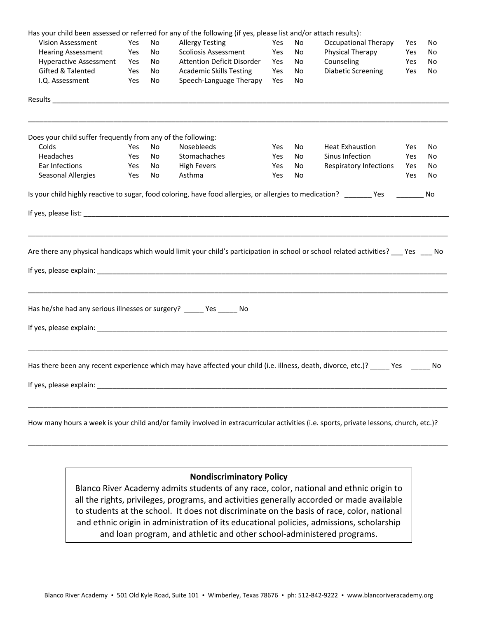|                                                                                                                 |     |     | Has your child been assessed or referred for any of the following (if yes, please list and/or attach results):                                                                                                                                                                                                                                                         |     |    |                               |     |    |
|-----------------------------------------------------------------------------------------------------------------|-----|-----|------------------------------------------------------------------------------------------------------------------------------------------------------------------------------------------------------------------------------------------------------------------------------------------------------------------------------------------------------------------------|-----|----|-------------------------------|-----|----|
| <b>Vision Assessment</b>                                                                                        | Yes | No  | <b>Allergy Testing</b>                                                                                                                                                                                                                                                                                                                                                 | Yes | No | <b>Occupational Therapy</b>   | Yes | No |
| <b>Hearing Assessment</b>                                                                                       | Yes | No  | <b>Scoliosis Assessment</b>                                                                                                                                                                                                                                                                                                                                            | Yes | No | <b>Physical Therapy</b>       | Yes | No |
| <b>Hyperactive Assessment</b><br>Yes                                                                            |     | No  | <b>Attention Deficit Disorder</b>                                                                                                                                                                                                                                                                                                                                      |     | No | Counseling                    | Yes | No |
| <b>Gifted &amp; Talented</b>                                                                                    | Yes | No  | <b>Academic Skills Testing</b>                                                                                                                                                                                                                                                                                                                                         | Yes | No | <b>Diabetic Screening</b>     | Yes | No |
| I.Q. Assessment                                                                                                 | Yes | No  | Speech-Language Therapy                                                                                                                                                                                                                                                                                                                                                | Yes | No |                               |     |    |
| Results and the contract of the contract of the contract of the contract of the contract of the contract of the |     |     |                                                                                                                                                                                                                                                                                                                                                                        |     |    |                               |     |    |
| Does your child suffer frequently from any of the following:                                                    |     |     |                                                                                                                                                                                                                                                                                                                                                                        |     |    |                               |     |    |
| Colds                                                                                                           | Yes | No  | <b>Nosebleeds</b>                                                                                                                                                                                                                                                                                                                                                      | Yes | No | <b>Heat Exhaustion</b>        | Yes | No |
| <b>Headaches</b>                                                                                                | Yes | No. | Stomachaches                                                                                                                                                                                                                                                                                                                                                           | Yes | No | Sinus Infection               | Yes | No |
| Ear Infections                                                                                                  | Yes | No  | <b>High Fevers</b>                                                                                                                                                                                                                                                                                                                                                     | Yes | No | <b>Respiratory Infections</b> | Yes | No |
| Seasonal Allergies                                                                                              | Yes | No  | Asthma                                                                                                                                                                                                                                                                                                                                                                 | Yes | No |                               | Yes | No |
|                                                                                                                 |     |     | Are there any physical handicaps which would limit your child's participation in school or school related activities? ___ Yes ___ No<br>If yes, please explain: The same state of the state of the state of the state of the state of the state of the state of the state of the state of the state of the state of the state of the state of the state of the state o |     |    |                               |     |    |
| Has he/she had any serious illnesses or surgery? ______ Yes ______ No                                           |     |     |                                                                                                                                                                                                                                                                                                                                                                        |     |    |                               |     |    |
|                                                                                                                 |     |     |                                                                                                                                                                                                                                                                                                                                                                        |     |    |                               |     |    |
|                                                                                                                 |     |     | Has there been any recent experience which may have affected your child (i.e. illness, death, divorce, etc.)? _____ Yes _____                                                                                                                                                                                                                                          |     |    |                               |     | No |
|                                                                                                                 |     |     |                                                                                                                                                                                                                                                                                                                                                                        |     |    |                               |     |    |
|                                                                                                                 |     |     | How many hours a week is your child and/or family involved in extracurricular activities (i.e. sports, private lessons, church, etc.)?                                                                                                                                                                                                                                 |     |    |                               |     |    |

#### **Nondiscriminatory Policy**

\_\_\_\_\_\_\_\_\_\_\_\_\_\_\_\_\_\_\_\_\_\_\_\_\_\_\_\_\_\_\_\_\_\_\_\_\_\_\_\_\_\_\_\_\_\_\_\_\_\_\_\_\_\_\_\_\_\_\_\_\_\_\_\_\_\_\_\_\_\_\_\_\_\_\_\_\_\_\_\_\_\_\_\_\_\_\_\_\_\_\_\_\_\_\_\_\_\_\_\_\_\_\_\_\_\_\_\_

Blanco River Academy admits students of any race, color, national and ethnic origin to all the rights, privileges, programs, and activities generally accorded or made available to students at the school. It does not discriminate on the basis of race, color, national and ethnic origin in administration of its educational policies, admissions, scholarship and loan program, and athletic and other school‐administered programs.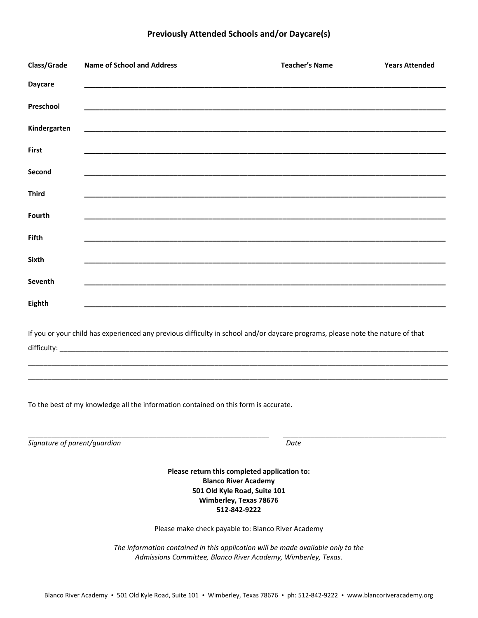### **Previously Attended Schools and/or Daycare(s)**

| Class/Grade                                                                                                                                                                                                           | <b>Name of School and Address</b>                                                                                     | <b>Teacher's Name</b> | <b>Years Attended</b> |  |  |  |
|-----------------------------------------------------------------------------------------------------------------------------------------------------------------------------------------------------------------------|-----------------------------------------------------------------------------------------------------------------------|-----------------------|-----------------------|--|--|--|
| <b>Daycare</b>                                                                                                                                                                                                        |                                                                                                                       |                       |                       |  |  |  |
| Preschool                                                                                                                                                                                                             | <u> 1989 - Johann Stoff, deutscher Stoff, der Stoff, der Stoff, der Stoff, der Stoff, der Stoff, der Stoff, der S</u> |                       |                       |  |  |  |
| Kindergarten                                                                                                                                                                                                          |                                                                                                                       |                       |                       |  |  |  |
| <b>First</b>                                                                                                                                                                                                          |                                                                                                                       |                       |                       |  |  |  |
| Second                                                                                                                                                                                                                |                                                                                                                       |                       |                       |  |  |  |
| <b>Third</b>                                                                                                                                                                                                          |                                                                                                                       |                       |                       |  |  |  |
| Fourth                                                                                                                                                                                                                |                                                                                                                       |                       |                       |  |  |  |
| <b>Fifth</b>                                                                                                                                                                                                          |                                                                                                                       |                       |                       |  |  |  |
| Sixth                                                                                                                                                                                                                 |                                                                                                                       |                       |                       |  |  |  |
| Seventh                                                                                                                                                                                                               |                                                                                                                       |                       |                       |  |  |  |
| <b>Eighth</b>                                                                                                                                                                                                         |                                                                                                                       |                       |                       |  |  |  |
| If you or your child has experienced any previous difficulty in school and/or daycare programs, please note the nature of that<br>To the best of my knowledge all the information contained on this form is accurate. |                                                                                                                       |                       |                       |  |  |  |
|                                                                                                                                                                                                                       |                                                                                                                       |                       |                       |  |  |  |
| Signature of parent/guardian                                                                                                                                                                                          |                                                                                                                       | Date                  |                       |  |  |  |
| Please return this completed application to:<br><b>Blanco River Academy</b><br>501 Old Kyle Road, Suite 101                                                                                                           |                                                                                                                       |                       |                       |  |  |  |

#### Please make check payable to: Blanco River Academy

**Wimberley, Texas 78676 512‐842‐9222** 

*The information contained in this application will be made available only to the Admissions Committee, Blanco River Academy, Wimberley, Texas*.